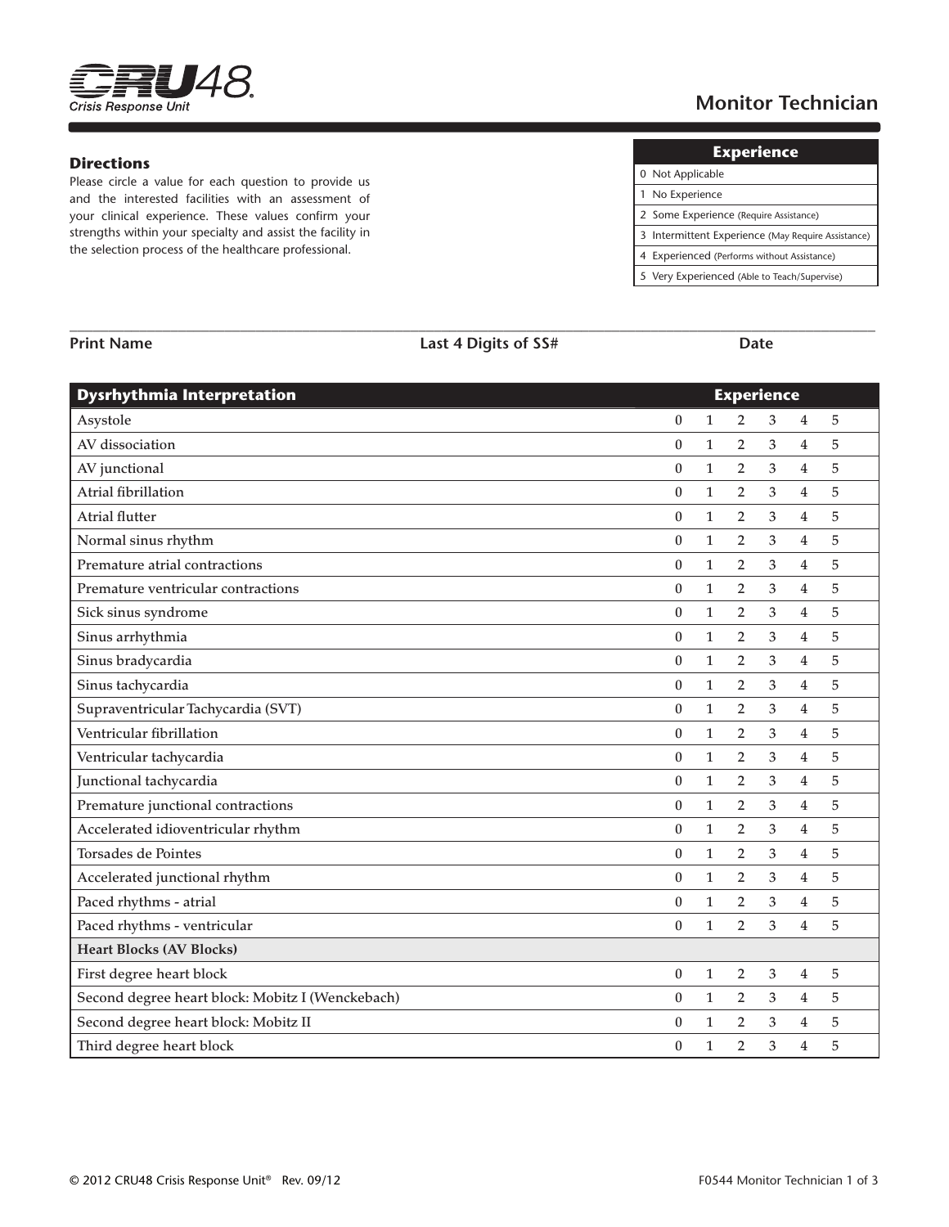

# **Monitor Technician**

### **Directions**

Please circle a value for each question to provide us and the interested facilities with an assessment of your clinical experience. These values confirm your strengths within your specialty and assist the facility in the selection process of the healthcare professional.

| <b>Experience</b>                                  |
|----------------------------------------------------|
| 0 Not Applicable                                   |
| 1 No Experience                                    |
| 2 Some Experience (Require Assistance)             |
| 3 Intermittent Experience (May Require Assistance) |
| 4 Experienced (Performs without Assistance)        |
| 5 Very Experienced (Able to Teach/Supervise)       |

| <b>Print Name</b> |
|-------------------|
|                   |

**\_\_\_\_\_\_\_\_\_\_\_\_\_\_\_\_\_\_\_\_\_\_\_\_\_\_\_\_\_\_\_\_\_\_\_\_\_\_\_\_\_\_\_\_\_\_\_\_\_\_\_\_\_\_\_\_\_\_\_\_\_\_\_\_\_\_\_\_\_\_\_\_\_\_\_\_\_\_\_\_\_\_\_\_\_\_\_\_\_\_\_\_\_\_\_\_\_\_\_\_\_\_\_\_ Print Name Last 4 Digits of SS# Date**

| <b>Dysrhythmia Interpretation</b><br><b>Experience</b> |                  |              |                |   |                |   |
|--------------------------------------------------------|------------------|--------------|----------------|---|----------------|---|
| Asystole                                               | $\mathbf{0}$     | $\mathbf{1}$ | $\overline{2}$ | 3 | 4              | 5 |
| AV dissociation                                        | $\boldsymbol{0}$ | $\mathbf{1}$ | $\overline{2}$ | 3 | $\overline{4}$ | 5 |
| AV junctional                                          | $\boldsymbol{0}$ | $\mathbf{1}$ | $\overline{2}$ | 3 | 4              | 5 |
| Atrial fibrillation                                    | $\theta$         | $\mathbf{1}$ | $\overline{2}$ | 3 | $\overline{4}$ | 5 |
| Atrial flutter                                         | $\bf{0}$         | $\mathbf{1}$ | $\overline{2}$ | 3 | 4              | 5 |
| Normal sinus rhythm                                    | $\mathbf{0}$     | $\mathbf{1}$ | $\overline{2}$ | 3 | $\overline{4}$ | 5 |
| Premature atrial contractions                          | $\mathbf{0}$     | $\mathbf{1}$ | $\overline{2}$ | 3 | $\overline{4}$ | 5 |
| Premature ventricular contractions                     | $\bf{0}$         | $\mathbf{1}$ | $\overline{2}$ | 3 | 4              | 5 |
| Sick sinus syndrome                                    | $\boldsymbol{0}$ | $\mathbf{1}$ | $\overline{2}$ | 3 | $\overline{4}$ | 5 |
| Sinus arrhythmia                                       | $\boldsymbol{0}$ | $\mathbf{1}$ | $\overline{2}$ | 3 | 4              | 5 |
| Sinus bradycardia                                      | $\mathbf{0}$     | $\mathbf{1}$ | $\overline{2}$ | 3 | $\overline{4}$ | 5 |
| Sinus tachycardia                                      | $\mathbf{0}$     | $\mathbf{1}$ | $\overline{2}$ | 3 | 4              | 5 |
| Supraventricular Tachycardia (SVT)                     | $\mathbf{0}$     | $\mathbf{1}$ | $\overline{2}$ | 3 | $\overline{4}$ | 5 |
| Ventricular fibrillation                               | $\theta$         | $\mathbf{1}$ | $\overline{2}$ | 3 | $\overline{4}$ | 5 |
| Ventricular tachycardia                                | $\mathbf{0}$     | $\mathbf{1}$ | $\overline{2}$ | 3 | 4              | 5 |
| Junctional tachycardia                                 | $\mathbf{0}$     | $\mathbf{1}$ | $\overline{2}$ | 3 | $\overline{4}$ | 5 |
| Premature junctional contractions                      | $\mathbf{0}$     | $\mathbf{1}$ | $\overline{2}$ | 3 | $\overline{4}$ | 5 |
| Accelerated idioventricular rhythm                     | $\mathbf{0}$     | $\mathbf{1}$ | $\overline{2}$ | 3 | $\overline{4}$ | 5 |
| Torsades de Pointes                                    | $\bf{0}$         | $\mathbf{1}$ | $\overline{2}$ | 3 | 4              | 5 |
| Accelerated junctional rhythm                          | $\theta$         | $\mathbf{1}$ | $\overline{2}$ | 3 | 4              | 5 |
| Paced rhythms - atrial                                 | $\boldsymbol{0}$ | $\mathbf{1}$ | $\overline{2}$ | 3 | $\overline{4}$ | 5 |
| Paced rhythms - ventricular                            | $\mathbf{0}$     | $\mathbf{1}$ | $\overline{2}$ | 3 | $\overline{4}$ | 5 |
| <b>Heart Blocks (AV Blocks)</b>                        |                  |              |                |   |                |   |
| First degree heart block                               | $\mathbf{0}$     | 1            | $\overline{2}$ | 3 | 4              | 5 |
| Second degree heart block: Mobitz I (Wenckebach)       | $\mathbf{0}$     | $\mathbf{1}$ | $\overline{2}$ | 3 | 4              | 5 |
| Second degree heart block: Mobitz II                   | $\mathbf{0}$     | $\mathbf{1}$ | $\overline{2}$ | 3 | 4              | 5 |
| Third degree heart block                               | $\mathbf{0}$     | $\mathbf{1}$ | $\overline{2}$ | 3 | $\overline{4}$ | 5 |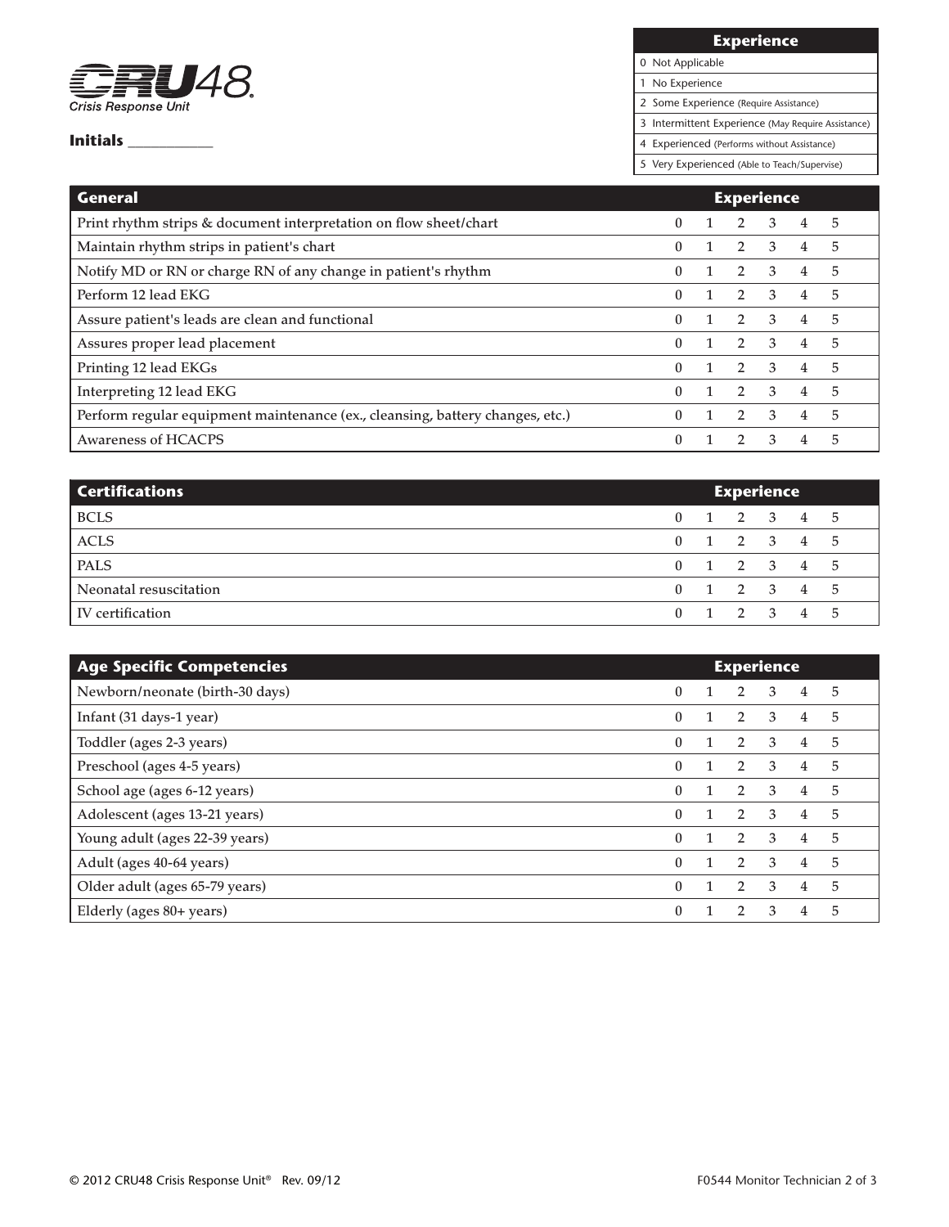

### **Initials** \_\_\_\_\_\_\_\_\_\_\_

**Experience**

0 Not Applicable 1 No Experience

2 Some Experience (Require Assistance)

3 Intermittent Experience (May Require Assistance)

4 Experienced (Performs without Assistance)

5 Very Experienced (Able to Teach/Supervise)

| <b>General</b>                                                                |              | <b>Experience</b> |                |   |   |
|-------------------------------------------------------------------------------|--------------|-------------------|----------------|---|---|
| Print rhythm strips & document interpretation on flow sheet/chart             | $\mathbf{0}$ |                   | 3              | 4 | 5 |
| Maintain rhythm strips in patient's chart                                     | $\mathbf{0}$ | $\overline{2}$    | $\mathbf{3}$   | 4 | 5 |
| Notify MD or RN or charge RN of any change in patient's rhythm                | $\mathbf{0}$ | $\overline{2}$    | $\overline{3}$ | 4 | 5 |
| Perform 12 lead EKG                                                           | $\Omega$     | $\overline{2}$    | $\mathbf{3}$   | 4 | 5 |
| Assure patient's leads are clean and functional                               | $\mathbf{0}$ | $2 \quad 3$       |                | 4 | 5 |
| Assures proper lead placement                                                 | $\mathbf{0}$ | $\overline{2}$    | $\mathbf{3}$   | 4 | 5 |
| Printing 12 lead EKGs                                                         | $\Omega$     | $\overline{2}$    | $\overline{3}$ | 4 | 5 |
| Interpreting 12 lead EKG                                                      | $\theta$     | $2 \quad 3$       |                | 4 | 5 |
| Perform regular equipment maintenance (ex., cleansing, battery changes, etc.) | $\Omega$     |                   | 3              | 4 | 5 |
| <b>Awareness of HCACPS</b>                                                    | $\Omega$     |                   | 3              | 4 | 5 |

| <b>Certifications</b>  | <b>Experience</b> |  |                         |  |  |  |  |
|------------------------|-------------------|--|-------------------------|--|--|--|--|
| <b>BCLS</b>            |                   |  | $0 \t1 \t2 \t3 \t4 \t5$ |  |  |  |  |
| <b>ACLS</b>            |                   |  | $0 \t1 \t2 \t3 \t4 \t5$ |  |  |  |  |
| <b>PALS</b>            |                   |  | $0 \t1 \t2 \t3 \t4 \t5$ |  |  |  |  |
| Neonatal resuscitation |                   |  | 0 1 2 3 4 5             |  |  |  |  |
| IV certification       | $\Omega$          |  | 1 2 3 4 5               |  |  |  |  |

| <b>Age Specific Competencies</b> |          | <b>Experience</b> |              |   |   |
|----------------------------------|----------|-------------------|--------------|---|---|
| Newborn/neonate (birth-30 days)  | 0        | $\overline{2}$    | 3            | 4 | 5 |
| Infant (31 days-1 year)          | $\theta$ | 2                 | 3            | 4 | 5 |
| Toddler (ages 2-3 years)         | $\theta$ | $\overline{2}$    | 3            | 4 | 5 |
| Preschool (ages 4-5 years)       | $\theta$ | 2                 | 3            | 4 | 5 |
| School age (ages 6-12 years)     | $\theta$ | $\overline{2}$    | 3            | 4 | 5 |
| Adolescent (ages 13-21 years)    | $\theta$ | $\overline{2}$    | 3            | 4 | 5 |
| Young adult (ages 22-39 years)   | 0        | 2                 | 3            | 4 | 5 |
| Adult (ages 40-64 years)         | $\theta$ | $2^{\circ}$       | $\mathbf{3}$ | 4 | 5 |
| Older adult (ages 65-79 years)   | $\theta$ | $\overline{2}$    | 3            | 4 | 5 |
| Elderly (ages 80+ years)         | 0        |                   | 3            | 4 | 5 |